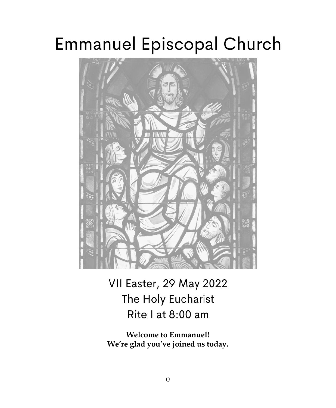# **Emmanuel Episcopal Church**



# VII Easter, 29 May 2022 The Holy Eucharist Rite I at 8:00 am

**Welcome to Emmanuel! We're glad you've joined us today.**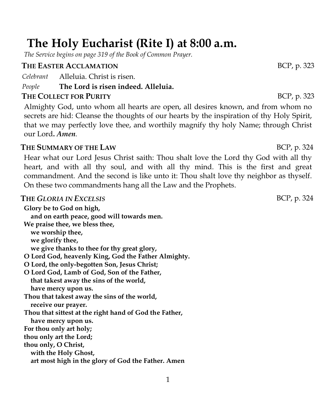# **The Holy Eucharist (Rite I) at 8:00 a.m.**

*The Service begins on page 319 of the Book of Common Prayer.*

#### **THE EASTER ACCLAMATION** BCP, p. 323

*Celebrant* Alleluia. Christ is risen.

*People* **The Lord is risen indeed. Alleluia.**

#### **THE COLLECT FOR PURITY BCP**, p. 323

Almighty God, unto whom all hearts are open, all desires known, and from whom no secrets are hid: Cleanse the thoughts of our hearts by the inspiration of thy Holy Spirit, that we may perfectly love thee, and worthily magnify thy holy Name; through Christ our Lord**.** *Amen.*

#### **THE SUMMARY OF THE LAW** BCP, p. 324

Hear what our Lord Jesus Christ saith: Thou shalt love the Lord thy God with all thy heart, and with all thy soul, and with all thy mind. This is the first and great commandment. And the second is like unto it: Thou shalt love thy neighbor as thyself. On these two commandments hang all the Law and the Prophets.

1

#### **THE GLORIA IN EXCELSIS** BCP, p. 324

**Glory be to God on high, and on earth peace, good will towards men. We praise thee, we bless thee, we worship thee, we glorify thee, we give thanks to thee for thy great glory, O Lord God, heavenly King, God the Father Almighty. O Lord, the only-begotten Son, Jesus Christ; O Lord God, Lamb of God, Son of the Father, that takest away the sins of the world, have mercy upon us. Thou that takest away the sins of the world, receive our prayer. Thou that sittest at the right hand of God the Father, have mercy upon us. For thou only art holy; thou only art the Lord; thou only, O Christ, with the Holy Ghost, art most high in the glory of God the Father. Amen**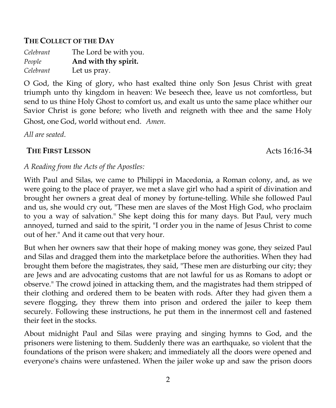#### **THE COLLECT OF THE DAY**

*Celebrant* The Lord be with you. *People* **And with thy spirit.** *Celebrant* Let us pray.

O God, the King of glory, who hast exalted thine only Son Jesus Christ with great triumph unto thy kingdom in heaven: We beseech thee, leave us not comfortless, but send to us thine Holy Ghost to comfort us, and exalt us unto the same place whither our Savior Christ is gone before; who liveth and reigneth with thee and the same Holy Ghost, one God, world without end. *Amen.*

*All are seated*.

#### **THE FIRST LESSON** Acts 16:16-34

#### *A Reading from the Acts of the Apostles:*

With Paul and Silas, we came to Philippi in Macedonia, a Roman colony, and, as we were going to the place of prayer, we met a slave girl who had a spirit of divination and brought her owners a great deal of money by fortune-telling. While she followed Paul and us, she would cry out, "These men are slaves of the Most High God, who proclaim to you a way of salvation." She kept doing this for many days. But Paul, very much annoyed, turned and said to the spirit, "I order you in the name of Jesus Christ to come out of her." And it came out that very hour.

But when her owners saw that their hope of making money was gone, they seized Paul and Silas and dragged them into the marketplace before the authorities. When they had brought them before the magistrates, they said, "These men are disturbing our city; they are Jews and are advocating customs that are not lawful for us as Romans to adopt or observe." The crowd joined in attacking them, and the magistrates had them stripped of their clothing and ordered them to be beaten with rods. After they had given them a severe flogging, they threw them into prison and ordered the jailer to keep them securely. Following these instructions, he put them in the innermost cell and fastened their feet in the stocks.

About midnight Paul and Silas were praying and singing hymns to God, and the prisoners were listening to them. Suddenly there was an earthquake, so violent that the foundations of the prison were shaken; and immediately all the doors were opened and everyone's chains were unfastened. When the jailer woke up and saw the prison doors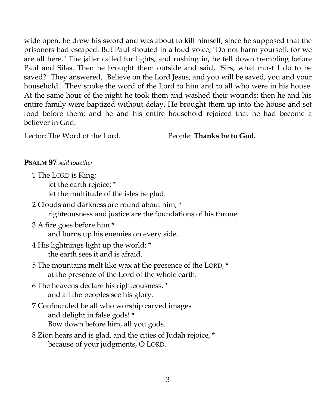wide open, he drew his sword and was about to kill himself, since he supposed that the prisoners had escaped. But Paul shouted in a loud voice, "Do not harm yourself, for we are all here." The jailer called for lights, and rushing in, he fell down trembling before Paul and Silas. Then he brought them outside and said, "Sirs, what must I do to be saved?" They answered, "Believe on the Lord Jesus, and you will be saved, you and your household." They spoke the word of the Lord to him and to all who were in his house. At the same hour of the night he took them and washed their wounds; then he and his entire family were baptized without delay. He brought them up into the house and set food before them; and he and his entire household rejoiced that he had become a believer in God.

Lector: The Word of the Lord. People: **Thanks be to God.** 

#### **PSALM 97** *said together*

1 The LORD is King;

let the earth rejoice; \*

let the multitude of the isles be glad.

- 2 Clouds and darkness are round about him, \* righteousness and justice are the foundations of his throne.
- 3 A fire goes before him \* and burns up his enemies on every side.
- 4 His lightnings light up the world; \* the earth sees it and is afraid.
- 5 The mountains melt like wax at the presence of the LORD, \* at the presence of the Lord of the whole earth.
- 6 The heavens declare his righteousness, \* and all the peoples see his glory.
- 7 Confounded be all who worship carved images and delight in false gods! \* Bow down before him, all you gods.
- 8 Zion hears and is glad, and the cities of Judah rejoice, \* because of your judgments, O LORD.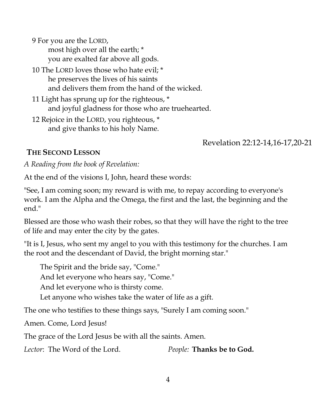9 For you are the LORD, most high over all the earth; \* you are exalted far above all gods.

- 10 The LORD loves those who hate evil; \* he preserves the lives of his saints and delivers them from the hand of the wicked.
- 11 Light has sprung up for the righteous, \* and joyful gladness for those who are truehearted.
- 12 Rejoice in the LORD, you righteous, \* and give thanks to his holy Name.

### Revelation 22:12-14,16-17,20-21

#### **THE SECOND LESSON**

*A Reading from the book of Revelation:*

At the end of the visions I, John, heard these words:

"See, I am coming soon; my reward is with me, to repay according to everyone's work. I am the Alpha and the Omega, the first and the last, the beginning and the end."

Blessed are those who wash their robes, so that they will have the right to the tree of life and may enter the city by the gates.

"It is I, Jesus, who sent my angel to you with this testimony for the churches. I am the root and the descendant of David, the bright morning star."

The Spirit and the bride say, "Come."

And let everyone who hears say, "Come."

And let everyone who is thirsty come.

Let anyone who wishes take the water of life as a gift.

The one who testifies to these things says, "Surely I am coming soon."

Amen. Come, Lord Jesus!

The grace of the Lord Jesus be with all the saints. Amen.

*Lector*: The Word of the Lord. *People:* **Thanks be to God.**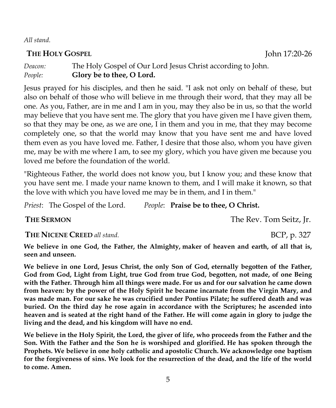*All stand.*

#### **THE HOLY GOSPEL** John 17:20-26

*Deacon:* The Holy Gospel of Our Lord Jesus Christ according to John. *People:* **Glory be to thee, O Lord.**

Jesus prayed for his disciples, and then he said. "I ask not only on behalf of these, but also on behalf of those who will believe in me through their word, that they may all be one. As you, Father, are in me and I am in you, may they also be in us, so that the world may believe that you have sent me. The glory that you have given me I have given them, so that they may be one, as we are one, I in them and you in me, that they may become completely one, so that the world may know that you have sent me and have loved them even as you have loved me. Father, I desire that those also, whom you have given me, may be with me where I am, to see my glory, which you have given me because you loved me before the foundation of the world.

"Righteous Father, the world does not know you, but I know you; and these know that you have sent me. I made your name known to them, and I will make it known, so that the love with which you have loved me may be in them, and I in them."

*Priest*: The Gospel of the Lord. *People*: **Praise be to thee, O Christ.**

**THE SERMON** The Rev. Tom Seitz, Jr.

**THE NICENE CREED** all stand. BCP, p. 327

**We believe in one God, the Father, the Almighty, maker of heaven and earth, of all that is, seen and unseen.** 

**We believe in one Lord, Jesus Christ, the only Son of God, eternally begotten of the Father, God from God, Light from Light, true God from true God, begotten, not made, of one Being with the Father. Through him all things were made. For us and for our salvation he came down from heaven: by the power of the Holy Spirit he became incarnate from the Virgin Mary, and was made man. For our sake he was crucified under Pontius Pilate; he suffered death and was buried. On the third day he rose again in accordance with the Scriptures; he ascended into heaven and is seated at the right hand of the Father. He will come again in glory to judge the living and the dead, and his kingdom will have no end.** 

**We believe in the Holy Spirit, the Lord, the giver of life, who proceeds from the Father and the Son. With the Father and the Son he is worshiped and glorified. He has spoken through the Prophets. We believe in one holy catholic and apostolic Church. We acknowledge one baptism for the forgiveness of sins. We look for the resurrection of the dead, and the life of the world to come. Amen.**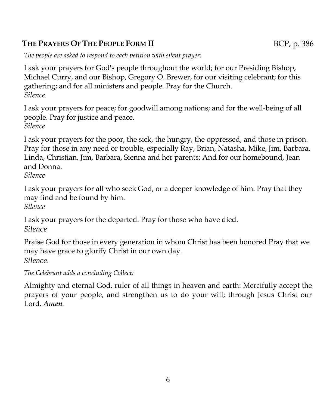### **THE PRAYERS OF THE PEOPLE FORM II** BCP, p. 386

*The people are asked to respond to each petition with silent prayer:*

I ask your prayers for God's people throughout the world; for our Presiding Bishop, Michael Curry, and our Bishop, Gregory O. Brewer, for our visiting celebrant; for this gathering; and for all ministers and people. Pray for the Church. *Silence*

I ask your prayers for peace; for goodwill among nations; and for the well-being of all people. Pray for justice and peace. *Silence*

I ask your prayers for the poor, the sick, the hungry, the oppressed, and those in prison. Pray for those in any need or trouble, especially Ray, Brian, Natasha, Mike, Jim, Barbara, Linda, Christian, Jim, Barbara, Sienna and her parents; And for our homebound, Jean and Donna.

*Silence*

I ask your prayers for all who seek God, or a deeper knowledge of him. Pray that they may find and be found by him. *Silence*

I ask your prayers for the departed. Pray for those who have died. *Silence*

Praise God for those in every generation in whom Christ has been honored Pray that we may have grace to glorify Christ in our own day. *Silence.*

*The Celebrant adds a concluding Collect:*

Almighty and eternal God, ruler of all things in heaven and earth: Mercifully accept the prayers of your people, and strengthen us to do your will; through Jesus Christ our Lord**.** *Amen.*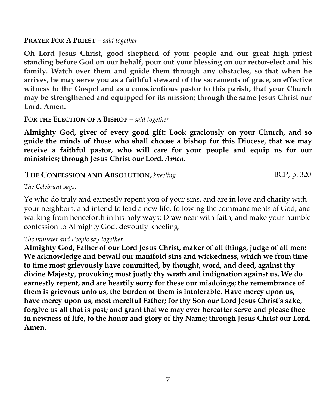**PRAYER FOR A PRIEST** *– said together*

**Oh Lord Jesus Christ, good shepherd of your people and our great high priest standing before God on our behalf, pour out your blessing on our rector-elect and his family. Watch over them and guide them through any obstacles, so that when he arrives, he may serve you as a faithful steward of the sacraments of grace, an effective witness to the Gospel and as a conscientious pastor to this parish, that your Church may be strengthened and equipped for its mission; through the same Jesus Christ our Lord. Amen.**

**FOR THE ELECTION OF A BISHOP** *– said together*

**Almighty God, giver of every good gift: Look graciously on your Church, and so guide the minds of those who shall choose a bishop for this Diocese, that we may receive a faithful pastor, who will care for your people and equip us for our ministries; through Jesus Christ our Lord.** *Amen.*

#### **THE CONFESSION AND ABSOLUTION,** kneeling **BCP**, p. 320

*The Celebrant says:*

Ye who do truly and earnestly repent you of your sins, and are in love and charity with your neighbors, and intend to lead a new life, following the commandments of God, and walking from henceforth in his holy ways: Draw near with faith, and make your humble confession to Almighty God, devoutly kneeling.

*The minister and People say together*

**Almighty God, Father of our Lord Jesus Christ, maker of all things, judge of all men: We acknowledge and bewail our manifold sins and wickedness, which we from time to time most grievously have committed, by thought, word, and deed, against thy divine Majesty, provoking most justly thy wrath and indignation against us. We do earnestly repent, and are heartily sorry for these our misdoings; the remembrance of them is grievous unto us, the burden of them is intolerable. Have mercy upon us, have mercy upon us, most merciful Father; for thy Son our Lord Jesus Christ's sake, forgive us all that is past; and grant that we may ever hereafter serve and please thee in newness of life, to the honor and glory of thy Name; through Jesus Christ our Lord. Amen.**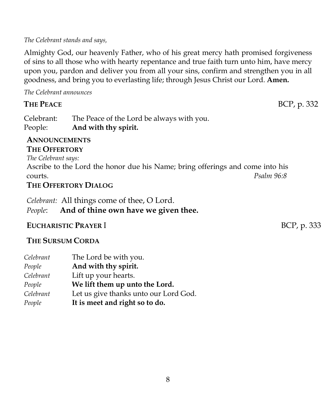*The Celebrant stands and says,*

Almighty God, our heavenly Father, who of his great mercy hath promised forgiveness of sins to all those who with hearty repentance and true faith turn unto him, have mercy upon you, pardon and deliver you from all your sins, confirm and strengthen you in all goodness, and bring you to everlasting life; through Jesus Christ our Lord. **Amen.**

*The Celebrant announces*

Celebrant: The Peace of the Lord be always with you. People: **And with thy spirit.**

## **ANNOUNCEMENTS**

#### **THE OFFERTORY**

*The Celebrant says:* Ascribe to the Lord the honor due his Name; bring offerings and come into his courts. *Psalm 96:8*

#### **THE OFFERTORY DIALOG**

*Celebrant:* All things come of thee, O Lord.

#### *People*: **And of thine own have we given thee.**

#### **EUCHARISTIC PRAYER I** BCP, p. 333

#### **THE SURSUM CORDA**

| Celebrant | The Lord be with you.                 |
|-----------|---------------------------------------|
| People    | And with thy spirit.                  |
| Celebrant | Lift up your hearts.                  |
| People    | We lift them up unto the Lord.        |
| Celebrant | Let us give thanks unto our Lord God. |
| People    | It is meet and right so to do.        |

**THE PEACE** BCP, p. 332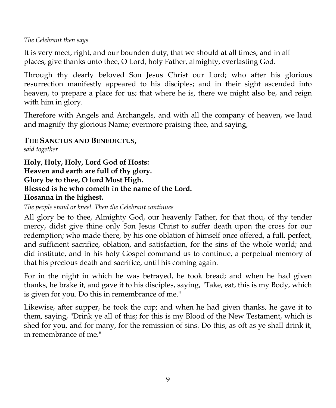#### *The Celebrant then says*

It is very meet, right, and our bounden duty, that we should at all times, and in all places, give thanks unto thee, O Lord, holy Father, almighty, everlasting God.

Through thy dearly beloved Son Jesus Christ our Lord; who after his glorious resurrection manifestly appeared to his disciples; and in their sight ascended into heaven, to prepare a place for us; that where he is, there we might also be, and reign with him in glory.

Therefore with Angels and Archangels, and with all the company of heaven, we laud and magnify thy glorious Name; evermore praising thee, and saying,

**THE SANCTUS AND BENEDICTUS,** *said together*

**Holy, Holy, Holy, Lord God of Hosts: Heaven and earth are full of thy glory. Glory be to thee, O lord Most High. Blessed is he who cometh in the name of the Lord. Hosanna in the highest.**

*The people stand or kneel. Then the Celebrant continues*

All glory be to thee, Almighty God, our heavenly Father, for that thou, of thy tender mercy, didst give thine only Son Jesus Christ to suffer death upon the cross for our redemption; who made there, by his one oblation of himself once offered, a full, perfect, and sufficient sacrifice, oblation, and satisfaction, for the sins of the whole world; and did institute, and in his holy Gospel command us to continue, a perpetual memory of that his precious death and sacrifice, until his coming again.

For in the night in which he was betrayed, he took bread; and when he had given thanks, he brake it, and gave it to his disciples, saying, "Take, eat, this is my Body, which is given for you. Do this in remembrance of me."

Likewise, after supper, he took the cup; and when he had given thanks, he gave it to them, saying, "Drink ye all of this; for this is my Blood of the New Testament, which is shed for you, and for many, for the remission of sins. Do this, as oft as ye shall drink it, in remembrance of me."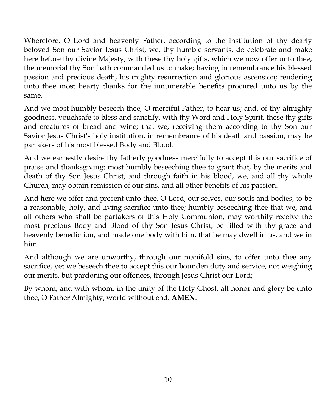Wherefore, O Lord and heavenly Father, according to the institution of thy dearly beloved Son our Savior Jesus Christ, we, thy humble servants, do celebrate and make here before thy divine Majesty, with these thy holy gifts, which we now offer unto thee, the memorial thy Son hath commanded us to make; having in remembrance his blessed passion and precious death, his mighty resurrection and glorious ascension; rendering unto thee most hearty thanks for the innumerable benefits procured unto us by the same.

And we most humbly beseech thee, O merciful Father, to hear us; and, of thy almighty goodness, vouchsafe to bless and sanctify, with thy Word and Holy Spirit, these thy gifts and creatures of bread and wine; that we, receiving them according to thy Son our Savior Jesus Christ's holy institution, in remembrance of his death and passion, may be partakers of his most blessed Body and Blood.

And we earnestly desire thy fatherly goodness mercifully to accept this our sacrifice of praise and thanksgiving; most humbly beseeching thee to grant that, by the merits and death of thy Son Jesus Christ, and through faith in his blood, we, and all thy whole Church, may obtain remission of our sins, and all other benefits of his passion.

And here we offer and present unto thee, O Lord, our selves, our souls and bodies, to be a reasonable, holy, and living sacrifice unto thee; humbly beseeching thee that we, and all others who shall be partakers of this Holy Communion, may worthily receive the most precious Body and Blood of thy Son Jesus Christ, be filled with thy grace and heavenly benediction, and made one body with him, that he may dwell in us, and we in him.

And although we are unworthy, through our manifold sins, to offer unto thee any sacrifice, yet we beseech thee to accept this our bounden duty and service, not weighing our merits, but pardoning our offences, through Jesus Christ our Lord;

By whom, and with whom, in the unity of the Holy Ghost, all honor and glory be unto thee, O Father Almighty, world without end. **AMEN**.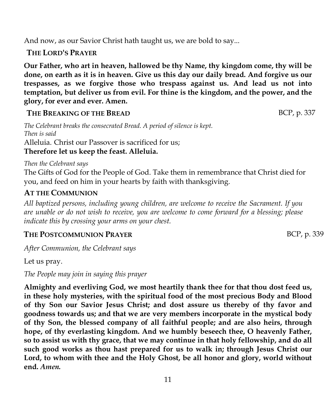And now, as our Savior Christ hath taught us, we are bold to say...

#### **THE LORD'S PRAYER**

**Our Father, who art in heaven, hallowed be thy Name, thy kingdom come, thy will be done, on earth as it is in heaven. Give us this day our daily bread. And forgive us our trespasses, as we forgive those who trespass against us. And lead us not into temptation, but deliver us from evil. For thine is the kingdom, and the power, and the glory, for ever and ever. Amen.**

#### **THE BREAKING OF THE BREAD** BCP, p. 337

*The Celebrant breaks the consecrated Bread. A period of silence is kept. Then is said* Alleluia. Christ our Passover is sacrificed for us; **Therefore let us keep the feast. Alleluia.**

*Then the Celebrant says*

The Gifts of God for the People of God. Take them in remembrance that Christ died for you, and feed on him in your hearts by faith with thanksgiving.

#### **AT THE COMMUNION**

*All baptized persons, including young children, are welcome to receive the Sacrament. If you are unable or do not wish to receive, you are welcome to come forward for a blessing; please indicate this by crossing your arms on your chest.*

#### **THE POSTCOMMUNION PRAYER BULLER BULLER BULLER BULLER BULLER BULLER BULLER**

*After Communion, the Celebrant says*

Let us pray.

*The People may join in saying this prayer*

**Almighty and everliving God, we most heartily thank thee for that thou dost feed us, in these holy mysteries, with the spiritual food of the most precious Body and Blood of thy Son our Savior Jesus Christ; and dost assure us thereby of thy favor and goodness towards us; and that we are very members incorporate in the mystical body of thy Son, the blessed company of all faithful people; and are also heirs, through hope, of thy everlasting kingdom. And we humbly beseech thee, O heavenly Father, so to assist us with thy grace, that we may continue in that holy fellowship, and do all such good works as thou hast prepared for us to walk in; through Jesus Christ our Lord, to whom with thee and the Holy Ghost, be all honor and glory, world without end.** *Amen.*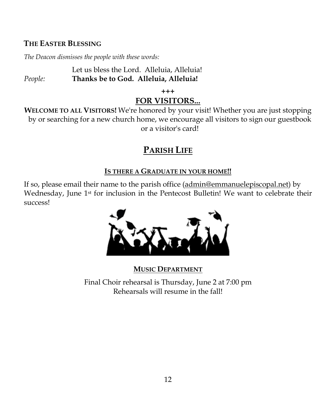#### **THE EASTER BLESSING**

*The Deacon dismisses the people with these words:*

Let us bless the Lord. Alleluia, Alleluia! *People:* **Thanks be to God. Alleluia, Alleluia!**

**+++**

#### **FOR VISITORS...**

**WELCOME TO ALL VISITORS!** We're honored by your visit! Whether you are just stopping by or searching for a new church home, we encourage all visitors to sign our guestbook or a visitor's card!

### **PARISH LIFE**

#### **IS THERE A GRADUATE IN YOUR HOME!!**

If so, please email their name to the parish office [\(admin@emmanuelepiscopal.net\)](mailto:admin@emmanuelepiscopal.net) by Wednesday, June 1<sup>st</sup> for inclusion in the Pentecost Bulletin! We want to celebrate their success!



**MUSIC DEPARTMENT**

Final Choir rehearsal is Thursday, June 2 at 7:00 pm Rehearsals will resume in the fall!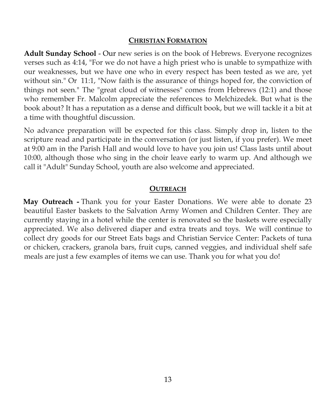#### **CHRISTIAN FORMATION**

**Adult Sunday School** - Our new series is on the book of Hebrews. Everyone recognizes verses such as 4:14, "For we do not have a high priest who is unable to sympathize with our weaknesses, but we have one who in every respect has been tested as we are, yet without sin." Or 11:1, "Now faith is the assurance of things hoped for, the conviction of things not seen." The "great cloud of witnesses" comes from Hebrews (12:1) and those who remember Fr. Malcolm appreciate the references to Melchizedek. But what is the book about? It has a reputation as a dense and difficult book, but we will tackle it a bit at a time with thoughtful discussion.

No advance preparation will be expected for this class. Simply drop in, listen to the scripture read and participate in the conversation (or just listen, if you prefer). We meet at 9:00 am in the Parish Hall and would love to have you join us! Class lasts until about 10:00, although those who sing in the choir leave early to warm up. And although we call it "Adult" Sunday School, youth are also welcome and appreciated.

#### **OUTREACH**

**May Outreach -** Thank you for your Easter Donations. We were able to donate 23 beautiful Easter baskets to the Salvation Army Women and Children Center. They are currently staying in a hotel while the center is renovated so the baskets were especially appreciated. We also delivered diaper and extra treats and toys. We will continue to collect dry goods for our Street Eats bags and Christian Service Center: Packets of tuna or chicken, crackers, granola bars, fruit cups, canned veggies, and individual shelf safe meals are just a few examples of items we can use. Thank you for what you do!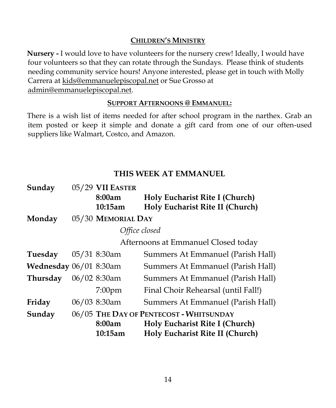#### **CHILDREN'S MINISTRY**

**Nursery -** I would love to have volunteers for the nursery crew! Ideally, I would have four volunteers so that they can rotate through the Sundays. Please think of students needing community service hours! Anyone interested, please get in touch with Molly Carrera at [kids@emmanuelepiscopal.net](about:blank) or Sue Grosso at [admin@emmanuelepiscopal.net.](about:blank)

#### **SUPPORT AFTERNOONS @ EMMANUEL:**

There is a wish list of items needed for after school program in the narthex. Grab an item posted or keep it simple and donate a gift card from one of our often-used suppliers like Walmart, Costco, and Amazon.

#### **THIS WEEK AT EMMANUEL**

| Sunday                 |  | 05/29 VII EASTER                        |                                     |  |  |
|------------------------|--|-----------------------------------------|-------------------------------------|--|--|
|                        |  | 8:00am                                  | Holy Eucharist Rite I (Church)      |  |  |
|                        |  | 10:15am                                 | Holy Eucharist Rite II (Church)     |  |  |
| Monday                 |  | 05/30 MEMORIAL DAY                      |                                     |  |  |
| Office closed          |  |                                         |                                     |  |  |
|                        |  | Afternoons at Emmanuel Closed today     |                                     |  |  |
| Tuesday                |  | $05/31$ 8:30am                          | Summers At Emmanuel (Parish Hall)   |  |  |
| Wednesday 06/01 8:30am |  |                                         | Summers At Emmanuel (Parish Hall)   |  |  |
| Thursday               |  | 06/02 8:30am                            | Summers At Emmanuel (Parish Hall)   |  |  |
|                        |  | $7:00$ pm                               | Final Choir Rehearsal (until Fall!) |  |  |
| Friday                 |  | 06/03 8:30am                            | Summers At Emmanuel (Parish Hall)   |  |  |
| Sunday                 |  | 06/05 THE DAY OF PENTECOST - WHITSUNDAY |                                     |  |  |
|                        |  | 8:00am                                  | Holy Eucharist Rite I (Church)      |  |  |
|                        |  | 10:15am                                 | Holy Eucharist Rite II (Church)     |  |  |